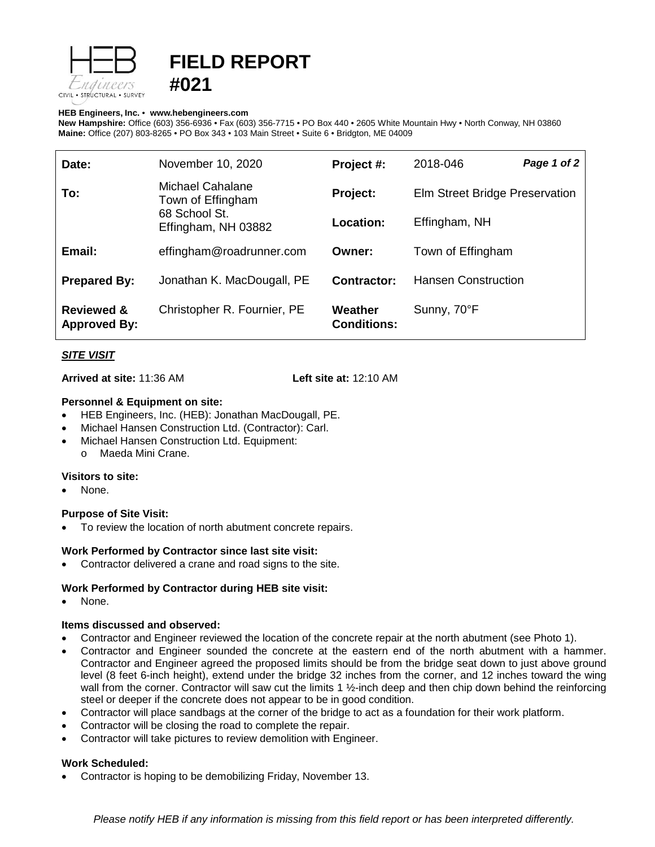



#### **HEB Engineers, Inc.** • **[www.hebengineer](http://www.hebengineers.com/)s.com**

**New Hampshire:** Office (603) 356-6936 • Fax (603) 356-7715 • PO Box 440 • 2605 White Mountain Hwy • North Conway, NH 03860 **Maine:** Office (207) 803-8265 • PO Box 343 • 103 Main Street • Suite 6 • Bridgton, ME 04009

| Date:                                        | November 10, 2020                                                             | Project #:                    | 2018-046                       | Page 1 of 2 |
|----------------------------------------------|-------------------------------------------------------------------------------|-------------------------------|--------------------------------|-------------|
| To:                                          | Michael Cahalane<br>Town of Effingham<br>68 School St.<br>Effingham, NH 03882 | Project:                      | Elm Street Bridge Preservation |             |
|                                              |                                                                               | Location:                     | Effingham, NH                  |             |
| Email:                                       | effingham@roadrunner.com                                                      | Owner:                        | Town of Effingham              |             |
| <b>Prepared By:</b>                          | Jonathan K. MacDougall, PE                                                    | Contractor:                   | <b>Hansen Construction</b>     |             |
| <b>Reviewed &amp;</b><br><b>Approved By:</b> | Christopher R. Fournier, PE                                                   | Weather<br><b>Conditions:</b> | Sunny, 70°F                    |             |

## *SITE VISIT*

**Arrived at site:** 11:36 AM **Left site at:** 12:10 AM

## **Personnel & Equipment on site:**

- HEB Engineers, Inc. (HEB): Jonathan MacDougall, PE.
- Michael Hansen Construction Ltd. (Contractor): Carl.
- Michael Hansen Construction Ltd. Equipment: o Maeda Mini Crane.

## **Visitors to site:**

• None.

## **Purpose of Site Visit:**

To review the location of north abutment concrete repairs.

## **Work Performed by Contractor since last site visit:**

• Contractor delivered a crane and road signs to the site.

## **Work Performed by Contractor during HEB site visit:**

None.

## **Items discussed and observed:**

- Contractor and Engineer reviewed the location of the concrete repair at the north abutment (see Photo 1).
- Contractor and Engineer sounded the concrete at the eastern end of the north abutment with a hammer. Contractor and Engineer agreed the proposed limits should be from the bridge seat down to just above ground level (8 feet 6-inch height), extend under the bridge 32 inches from the corner, and 12 inches toward the wing wall from the corner. Contractor will saw cut the limits 1 1/<sub>2</sub>-inch deep and then chip down behind the reinforcing steel or deeper if the concrete does not appear to be in good condition.
- Contractor will place sandbags at the corner of the bridge to act as a foundation for their work platform.
- Contractor will be closing the road to complete the repair.
- Contractor will take pictures to review demolition with Engineer.

## **Work Scheduled:**

• Contractor is hoping to be demobilizing Friday, November 13.